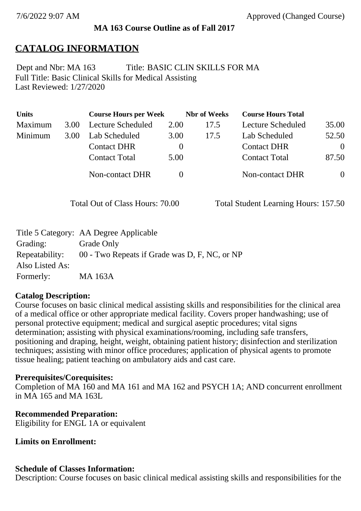### **MA 163 Course Outline as of Fall 2017**

# **CATALOG INFORMATION**

Full Title: Basic Clinical Skills for Medical Assisting Last Reviewed: 1/27/2020 Dept and Nbr: MA 163 Title: BASIC CLIN SKILLS FOR MA

| <b>Units</b> |      | <b>Course Hours per Week</b> |          | <b>Nbr</b> of Weeks | <b>Course Hours Total</b> |          |
|--------------|------|------------------------------|----------|---------------------|---------------------------|----------|
| Maximum      | 3.00 | <b>Lecture Scheduled</b>     | 2.00     | 17.5                | Lecture Scheduled         | 35.00    |
| Minimum      | 3.00 | Lab Scheduled                | 3.00     | 17.5                | Lab Scheduled             | 52.50    |
|              |      | <b>Contact DHR</b>           | $\theta$ |                     | <b>Contact DHR</b>        | $\Omega$ |
|              |      | <b>Contact Total</b>         | 5.00     |                     | <b>Contact Total</b>      | 87.50    |
|              |      | Non-contact DHR              |          |                     | <b>Non-contact DHR</b>    | $\Omega$ |

Total Out of Class Hours: 70.00 Total Student Learning Hours: 157.50

|                 | Title 5 Category: AA Degree Applicable        |
|-----------------|-----------------------------------------------|
| Grading:        | Grade Only                                    |
| Repeatability:  | 00 - Two Repeats if Grade was D, F, NC, or NP |
| Also Listed As: |                                               |
| Formerly:       | MA 163A                                       |

### **Catalog Description:**

Course focuses on basic clinical medical assisting skills and responsibilities for the clinical area of a medical office or other appropriate medical facility. Covers proper handwashing; use of personal protective equipment; medical and surgical aseptic procedures; vital signs determination; assisting with physical examinations/rooming, including safe transfers, positioning and draping, height, weight, obtaining patient history; disinfection and sterilization techniques; assisting with minor office procedures; application of physical agents to promote tissue healing; patient teaching on ambulatory aids and cast care.

### **Prerequisites/Corequisites:**

Completion of MA 160 and MA 161 and MA 162 and PSYCH 1A; AND concurrent enrollment in MA 165 and MA 163L

### **Recommended Preparation:**

Eligibility for ENGL 1A or equivalent

### **Limits on Enrollment:**

### **Schedule of Classes Information:**

Description: Course focuses on basic clinical medical assisting skills and responsibilities for the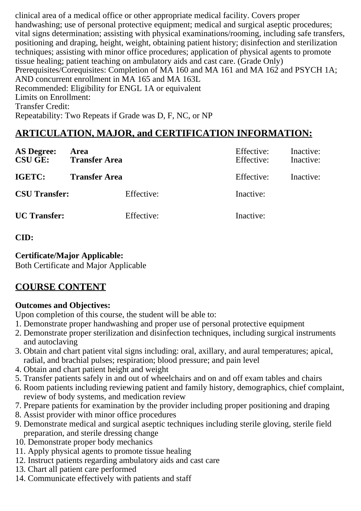clinical area of a medical office or other appropriate medical facility. Covers proper handwashing; use of personal protective equipment; medical and surgical aseptic procedures; vital signs determination; assisting with physical examinations/rooming, including safe transfers, positioning and draping, height, weight, obtaining patient history; disinfection and sterilization techniques; assisting with minor office procedures; application of physical agents to promote tissue healing; patient teaching on ambulatory aids and cast care. (Grade Only) Prerequisites/Corequisites: Completion of MA 160 and MA 161 and MA 162 and PSYCH 1A; AND concurrent enrollment in MA 165 and MA 163L Recommended: Eligibility for ENGL 1A or equivalent Limits on Enrollment: Transfer Credit: Repeatability: Two Repeats if Grade was D, F, NC, or NP

## **ARTICULATION, MAJOR, and CERTIFICATION INFORMATION:**

| <b>AS Degree:</b><br><b>CSU GE:</b> | Area<br><b>Transfer Area</b> | Effective:<br>Effective: | Inactive:<br>Inactive: |
|-------------------------------------|------------------------------|--------------------------|------------------------|
| IGETC:                              | <b>Transfer Area</b>         | Effective:               | Inactive:              |
| <b>CSU Transfer:</b>                | Effective:                   | Inactive:                |                        |
| <b>UC</b> Transfer:                 | Effective:                   | Inactive:                |                        |

#### **CID:**

#### **Certificate/Major Applicable:**

[Both Certificate and Major Applicable](SR_ClassCheck.aspx?CourseKey=MA163)

## **COURSE CONTENT**

#### **Outcomes and Objectives:**

Upon completion of this course, the student will be able to:

- 1. Demonstrate proper handwashing and proper use of personal protective equipment
- 2. Demonstrate proper sterilization and disinfection techniques, including surgical instruments and autoclaving
- 3. Obtain and chart patient vital signs including: oral, axillary, and aural temperatures; apical, radial, and brachial pulses; respiration; blood pressure; and pain level
- 4. Obtain and chart patient height and weight
- 5. Transfer patients safely in and out of wheelchairs and on and off exam tables and chairs
- 6. Room patients including reviewing patient and family history, demographics, chief complaint, review of body systems, and medication review
- 7. Prepare patients for examination by the provider including proper positioning and draping
- 8. Assist provider with minor office procedures
- 9. Demonstrate medical and surgical aseptic techniques including sterile gloving, sterile field preparation, and sterile dressing change
- 10. Demonstrate proper body mechanics
- 11. Apply physical agents to promote tissue healing
- 12. Instruct patients regarding ambulatory aids and cast care
- 13. Chart all patient care performed
- 14. Communicate effectively with patients and staff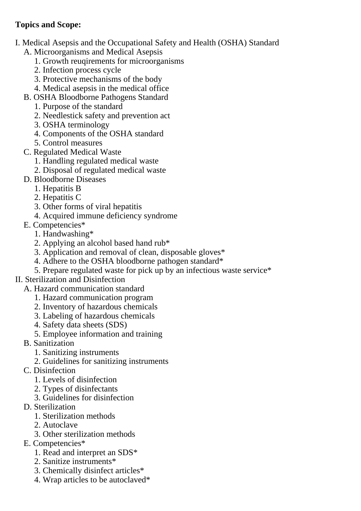### **Topics and Scope:**

- I. Medical Asepsis and the Occupational Safety and Health (OSHA) Standard
	- A. Microorganisms and Medical Asepsis
		- 1. Growth reuqirements for microorganisms
		- 2. Infection process cycle
		- 3. Protective mechanisms of the body
		- 4. Medical asepsis in the medical office
	- B. OSHA Bloodborne Pathogens Standard
		- 1. Purpose of the standard
		- 2. Needlestick safety and prevention act
		- 3. OSHA terminology
		- 4. Components of the OSHA standard
		- 5. Control measures
	- C. Regulated Medical Waste
		- 1. Handling regulated medical waste
		- 2. Disposal of regulated medical waste
	- D. Bloodborne Diseases
		- 1. Hepatitis B
		- 2. Hepatitis C
		- 3. Other forms of viral hepatitis
		- 4. Acquired immune deficiency syndrome
	- E. Competencies\*
		- 1. Handwashing\*
		- 2. Applying an alcohol based hand rub\*
		- 3. Application and removal of clean, disposable gloves\*
		- 4. Adhere to the OSHA bloodborne pathogen standard\*
		- 5. Prepare regulated waste for pick up by an infectious waste service\*
- II. Sterilization and Disinfection
	- A. Hazard communication standard
		- 1. Hazard communication program
		- 2. Inventory of hazardous chemicals
		- 3. Labeling of hazardous chemicals
		- 4. Safety data sheets (SDS)
		- 5. Employee information and training
	- B. Sanitization
		- 1. Sanitizing instruments
		- 2. Guidelines for sanitizing instruments
	- C. Disinfection
		- 1. Levels of disinfection
		- 2. Types of disinfectants
		- 3. Guidelines for disinfection
	- D. Sterilization
		- 1. Sterilization methods
		- 2. Autoclave
		- 3. Other sterilization methods
	- E. Competencies\*
		- 1. Read and interpret an SDS\*
		- 2. Sanitize instruments\*
		- 3. Chemically disinfect articles\*
		- 4. Wrap articles to be autoclaved\*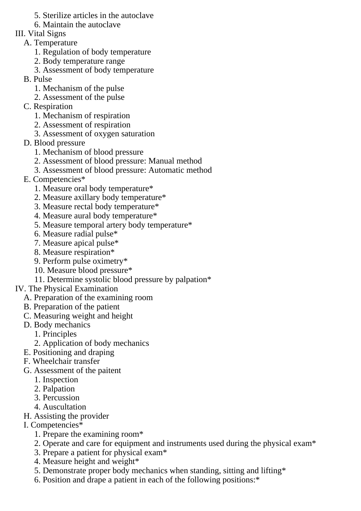- 5. Sterilize articles in the autoclave
- 6. Maintain the autoclave

### III. Vital Signs

- A. Temperature
	- 1. Regulation of body temperature
	- 2. Body temperature range
	- 3. Assessment of body temperature
- B. Pulse
	- 1. Mechanism of the pulse
	- 2. Assessment of the pulse
- C. Respiration
	- 1. Mechanism of respiration
	- 2. Assessment of respiration
	- 3. Assessment of oxygen saturation
- D. Blood pressure
	- 1. Mechanism of blood pressure
	- 2. Assessment of blood pressure: Manual method
	- 3. Assessment of blood pressure: Automatic method
- E. Competencies\*
	- 1. Measure oral body temperature\*
	- 2. Measure axillary body temperature\*
	- 3. Measure rectal body temperature\*
	- 4. Measure aural body temperature\*
	- 5. Measure temporal artery body temperature\*
	- 6. Measure radial pulse\*
	- 7. Measure apical pulse\*
	- 8. Measure respiration\*
	- 9. Perform pulse oximetry\*
	- 10. Measure blood pressure\*
	- 11. Determine systolic blood pressure by palpation\*
- IV. The Physical Examination
	- A. Preparation of the examining room
	- B. Preparation of the patient
	- C. Measuring weight and height
	- D. Body mechanics
		- 1. Principles
		- 2. Application of body mechanics
	- E. Positioning and draping
	- F. Wheelchair transfer
	- G. Assessment of the paitent
		- 1. Inspection
		- 2. Palpation
		- 3. Percussion
		- 4. Auscultation
	- H. Assisting the provider
	- I. Competencies\*
		- 1. Prepare the examining room\*
		- 2. Operate and care for equipment and instruments used during the physical exam\*
		- 3. Prepare a patient for physical exam\*
		- 4. Measure height and weight\*
		- 5. Demonstrate proper body mechanics when standing, sitting and lifting\*
		- 6. Position and drape a patient in each of the following positions:\*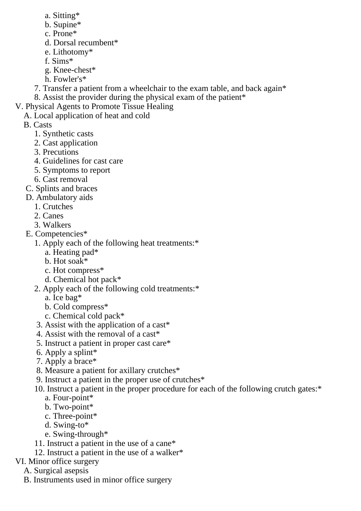- a. Sitting\*
- b. Supine\*
- c. Prone\*
- d. Dorsal recumbent\*
- e. Lithotomy\*
- f. Sims\*
- g. Knee-chest\*
- h. Fowler's\*
- 7. Transfer a patient from a wheelchair to the exam table, and back again\* 8. Assist the provider during the physical exam of the patient\*
- V. Physical Agents to Promote Tissue Healing
- A. Local application of heat and cold
	- B. Casts
		- 1. Synthetic casts
		- 2. Cast application
		- 3. Precutions
		- 4. Guidelines for cast care
		- 5. Symptoms to report
		- 6. Cast removal
	- C. Splints and braces
	- D. Ambulatory aids
		- 1. Crutches
		- 2. Canes
		- 3. Walkers
	- E. Competencies\*
		- 1. Apply each of the following heat treatments:\*
			- a. Heating pad\*
			- b. Hot soak\*
			- c. Hot compress\*
			- d. Chemical hot pack\*
		- 2. Apply each of the following cold treatments:\*
			- a. Ice bag\*
			- b. Cold compress\*
			- c. Chemical cold pack\*
		- 3. Assist with the application of a cast\*
		- 4. Assist with the removal of a cast\*
		- 5. Instruct a patient in proper cast care\*
		- 6. Apply a splint\*
		- 7. Apply a brace\*
		- 8. Measure a patient for axillary crutches\*
		- 9. Instruct a patient in the proper use of crutches\*
		- 10. Instruct a patient in the proper procedure for each of the following crutch gates:\*
			- a. Four-point\*
			- b. Two-point\*
			- c. Three-point\*
			- d. Swing-to\*
			- e. Swing-through\*
		- 11. Instruct a patient in the use of a cane\*
		- 12. Instruct a patient in the use of a walker\*
- VI. Minor office surgery
	- A. Surgical asepsis
	- B. Instruments used in minor office surgery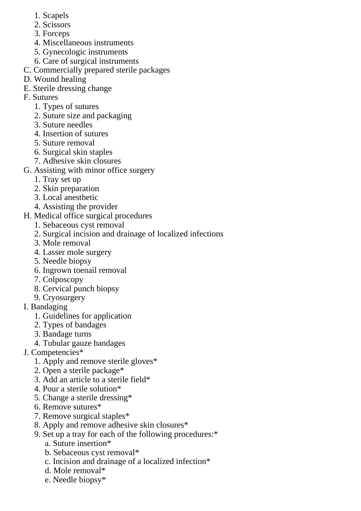- 1. Scapels
- 2. Scissors
- 3. Forceps
- 4. Miscellaneous instruments
- 5. Gynecologic instruments
- 6. Care of surgical instruments
- C. Commercially prepared sterile packages
- D. Wound healing
- E. Sterile dressing change
- F. Sutures
	- 1. Types of sutures
	- 2. Suture size and packaging
	- 3. Suture needles
	- 4. Insertion of sutures
	- 5. Suture removal
	- 6. Surgical skin staples
	- 7. Adhesive skin closures
- G. Assisting with minor office surgery
	- 1. Tray set up
	- 2. Skin preparation
	- 3. Local anesthetic
	- 4. Assisting the provider
- H. Medical office surgical procedures
	- 1. Sebaceous cyst removal
	- 2. Surgical incision and drainage of localized infections
	- 3. Mole removal
	- 4. Lasser mole surgery
	- 5. Needle biopsy
	- 6. Ingrown toenail removal
	- 7. Colposcopy
	- 8. Cervical punch biopsy
	- 9. Cryosurgery
- I. Bandaging
	- 1. Guidelines for application
	- 2. Types of bandages
	- 3. Bandage turns
	- 4. Tubular gauze bandages
- J. Competencies\*
	- 1. Apply and remove sterile gloves\*
	- 2. Open a sterile package\*
	- 3. Add an article to a sterile field\*
	- 4. Pour a sterile solution\*
	- 5. Change a sterile dressing\*
	- 6. Remove sutures\*
	- 7. Remove surgical staples\*
	- 8. Apply and remove adhesive skin closures\*
	- 9. Set up a tray for each of the following procedures:\*
		- a. Suture insertion\*
		- b. Sebaceous cyst removal\*
		- c. Incision and drainage of a localized infection\*
		- d. Mole removal\*
		- e. Needle biopsy\*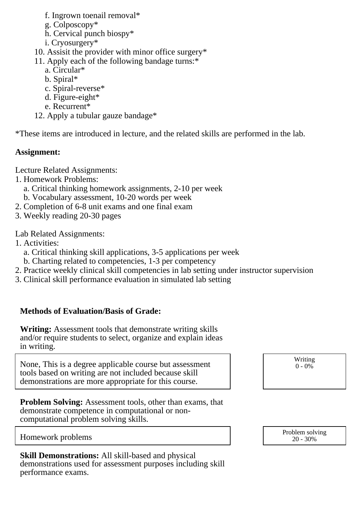- f. Ingrown toenail removal\*
- g. Colposcopy\*
- h. Cervical punch biospy\*
- i. Cryosurgery\*
- 10. Assisit the provider with minor office surgery\*
- 11. Apply each of the following bandage turns:\*
	- a. Circular\*
	- b. Spiral\*
	- c. Spiral-reverse\*
	- d. Figure-eight\*
	- e. Recurrent\*
- 12. Apply a tubular gauze bandage\*

\*These items are introduced in lecture, and the related skills are performed in the lab.

#### **Assignment:**

Lecture Related Assignments:

- 1. Homework Problems:
	- a. Critical thinking homework assignments, 2-10 per week
	- b. Vocabulary assessment, 10-20 words per week
- 2. Completion of 6-8 unit exams and one final exam
- 3. Weekly reading 20-30 pages

Lab Related Assignments:

- 1. Activities:
	- a. Critical thinking skill applications, 3-5 applications per week
	- b. Charting related to competencies, 1-3 per competency
- 2. Practice weekly clinical skill competencies in lab setting under instructor supervision
- 3. Clinical skill performance evaluation in simulated lab setting

#### **Methods of Evaluation/Basis of Grade:**

**Writing:** Assessment tools that demonstrate writing skills and/or require students to select, organize and explain ideas in writing.

None, This is a degree applicable course but assessment tools based on writing are not included because skill demonstrations are more appropriate for this course.

**Problem Solving:** Assessment tools, other than exams, that demonstrate competence in computational or noncomputational problem solving skills.

Writing  $0 - 0\%$ 

**Skill Demonstrations:** All skill-based and physical demonstrations used for assessment purposes including skill performance exams.

Homework problems and the problem solving the problem solving  $\frac{1}{20-30\%}$ 20 - 30%